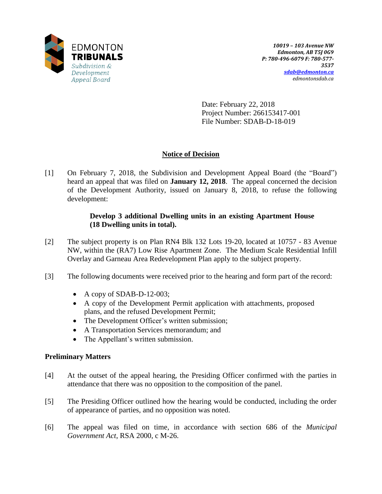

Date: February 22, 2018 Project Number: 266153417-001 File Number: SDAB-D-18-019

# **Notice of Decision**

[1] On February 7, 2018, the Subdivision and Development Appeal Board (the "Board") heard an appeal that was filed on **January 12, 2018**. The appeal concerned the decision of the Development Authority, issued on January 8, 2018, to refuse the following development:

# **Develop 3 additional Dwelling units in an existing Apartment House (18 Dwelling units in total).**

- [2] The subject property is on Plan RN4 Blk 132 Lots 19-20, located at 10757 83 Avenue NW, within the (RA7) Low Rise Apartment Zone. The Medium Scale Residential Infill Overlay and Garneau Area Redevelopment Plan apply to the subject property.
- [3] The following documents were received prior to the hearing and form part of the record:
	- $\bullet$  A copy of SDAB-D-12-003;
	- A copy of the Development Permit application with attachments, proposed plans, and the refused Development Permit;
	- The Development Officer's written submission;
	- A Transportation Services memorandum; and
	- The Appellant's written submission.

## **Preliminary Matters**

- [4] At the outset of the appeal hearing, the Presiding Officer confirmed with the parties in attendance that there was no opposition to the composition of the panel.
- [5] The Presiding Officer outlined how the hearing would be conducted, including the order of appearance of parties, and no opposition was noted.
- [6] The appeal was filed on time, in accordance with section 686 of the *Municipal Government Act*, RSA 2000, c M-26.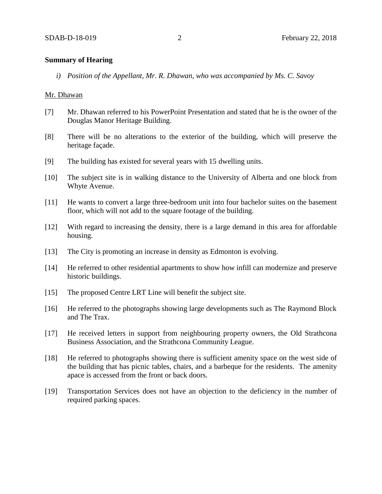## **Summary of Hearing**

*i) Position of the Appellant, Mr. R. Dhawan, who was accompanied by Ms. C. Savoy*

#### Mr. Dhawan

- [7] Mr. Dhawan referred to his PowerPoint Presentation and stated that he is the owner of the Douglas Manor Heritage Building.
- [8] There will be no alterations to the exterior of the building, which will preserve the heritage façade.
- [9] The building has existed for several years with 15 dwelling units.
- [10] The subject site is in walking distance to the University of Alberta and one block from Whyte Avenue.
- [11] He wants to convert a large three-bedroom unit into four bachelor suites on the basement floor, which will not add to the square footage of the building.
- [12] With regard to increasing the density, there is a large demand in this area for affordable housing.
- [13] The City is promoting an increase in density as Edmonton is evolving.
- [14] He referred to other residential apartments to show how infill can modernize and preserve historic buildings.
- [15] The proposed Centre LRT Line will benefit the subject site.
- [16] He referred to the photographs showing large developments such as The Raymond Block and The Trax.
- [17] He received letters in support from neighbouring property owners, the Old Strathcona Business Association, and the Strathcona Community League.
- [18] He referred to photographs showing there is sufficient amenity space on the west side of the building that has picnic tables, chairs, and a barbeque for the residents. The amenity apace is accessed from the front or back doors.
- [19] Transportation Services does not have an objection to the deficiency in the number of required parking spaces.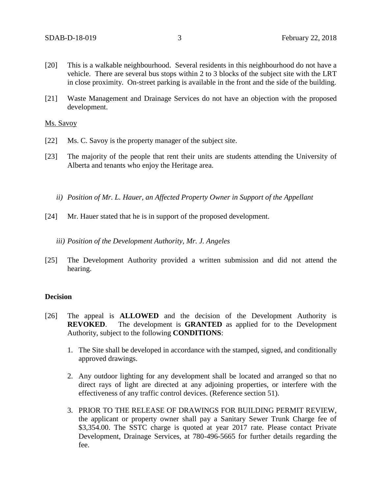- [20] This is a walkable neighbourhood. Several residents in this neighbourhood do not have a vehicle. There are several bus stops within 2 to 3 blocks of the subject site with the LRT in close proximity. On-street parking is available in the front and the side of the building.
- [21] Waste Management and Drainage Services do not have an objection with the proposed development.

## Ms. Savoy

- [22] Ms. C. Savoy is the property manager of the subject site.
- [23] The majority of the people that rent their units are students attending the University of Alberta and tenants who enjoy the Heritage area.
	- *ii) Position of Mr. L. Hauer, an Affected Property Owner in Support of the Appellant*
- [24] Mr. Hauer stated that he is in support of the proposed development.
	- *iii) Position of the Development Authority, Mr. J. Angeles*
- [25] The Development Authority provided a written submission and did not attend the hearing.

#### **Decision**

- [26] The appeal is **ALLOWED** and the decision of the Development Authority is **REVOKED**. The development is **GRANTED** as applied for to the Development Authority, subject to the following **CONDITIONS**:
	- 1. The Site shall be developed in accordance with the stamped, signed, and conditionally approved drawings.
	- 2. Any outdoor lighting for any development shall be located and arranged so that no direct rays of light are directed at any adjoining properties, or interfere with the effectiveness of any traffic control devices. (Reference section 51).
	- 3. PRIOR TO THE RELEASE OF DRAWINGS FOR BUILDING PERMIT REVIEW, the applicant or property owner shall pay a Sanitary Sewer Trunk Charge fee of \$3,354.00. The SSTC charge is quoted at year 2017 rate. Please contact Private Development, Drainage Services, at 780-496-5665 for further details regarding the fee.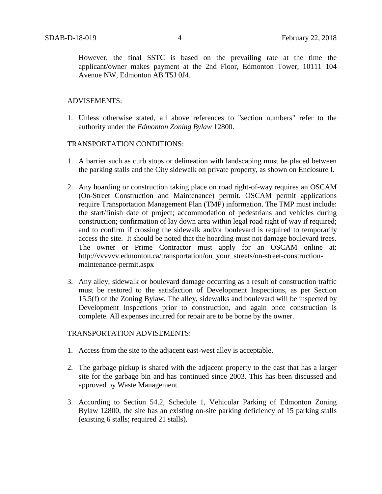However, the final SSTC is based on the prevailing rate at the time the applicant/owner makes payment at the 2nd Floor, Edmonton Tower, 10111 104 Avenue NW, Edmonton AB T5J 0J4.

## ADVISEMENTS:

1. Unless otherwise stated, all above references to "section numbers" refer to the authority under the *Edmonton Zoning Bylaw* 12800.

## TRANSPORTATION CONDITIONS:

- 1. A barrier such as curb stops or delineation with landscaping must be placed between the parking stalls and the City sidewalk on private property, as shown on Enclosure I.
- 2. Any hoarding or construction taking place on road right-of-way requires an OSCAM (On-Street Construction and Maintenance) permit. OSCAM permit applications require Transportation Management Plan (TMP) information. The TMP must include: the start/finish date of project; accommodation of pedestrians and vehicles during construction; confirmation of lay down area within legal road right of way if required; and to confirm if crossing the sidewalk and/or boulevard is required to temporarily access the site. It should be noted that the hoarding must not damage boulevard trees. The owner or Prime Contractor must apply for an OSCAM online at: http://vvvvvv.edmonton.ca/transportation/on\_your\_streets/on-street-constructionmaintenance-permit.aspx
- 3. Any alley, sidewalk or boulevard damage occurring as a result of construction traffic must be restored to the satisfaction of Development Inspections, as per Section 15.5(f) of the Zoning Bylaw. The alley, sidewalks and boulevard will be inspected by Development Inspections prior to construction, and again once construction is complete. All expenses incurred for repair are to be borne by the owner.

### TRANSPORTATION ADVISEMENTS:

- 1. Access from the site to the adjacent east-west alley is acceptable.
- 2. The garbage pickup is shared with the adjacent property to the east that has a larger site for the garbage bin and has continued since 2003. This has been discussed and approved by Waste Management.
- 3. According to Section 54.2, Schedule 1, Vehicular Parking of Edmonton Zoning Bylaw 12800, the site has an existing on-site parking deficiency of 15 parking stalls (existing 6 stalls; required 21 stalls).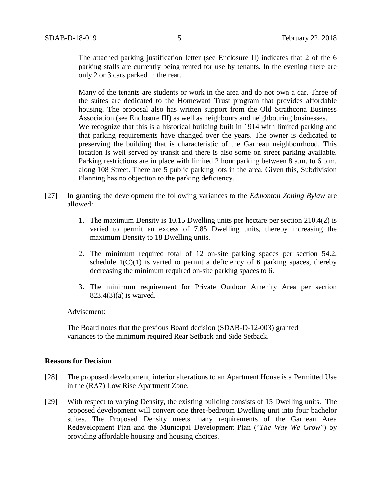The attached parking justification letter (see Enclosure II) indicates that 2 of the 6 parking stalls are currently being rented for use by tenants. In the evening there are only 2 or 3 cars parked in the rear.

Many of the tenants are students or work in the area and do not own a car. Three of the suites are dedicated to the Homeward Trust program that provides affordable housing. The proposal also has written support from the Old Strathcona Business Association (see Enclosure III) as well as neighbours and neighbouring businesses. We recognize that this is a historical building built in 1914 with limited parking and that parking requirements have changed over the years. The owner is dedicated to preserving the building that is characteristic of the Garneau neighbourhood. This location is well served by transit and there is also some on street parking available. Parking restrictions are in place with limited 2 hour parking between 8 a.m. to 6 p.m. along 108 Street. There are 5 public parking lots in the area. Given this, Subdivision Planning has no objection to the parking deficiency.

- [27] In granting the development the following variances to the *Edmonton Zoning Bylaw* are allowed:
	- 1. The maximum Density is 10.15 Dwelling units per hectare per section 210.4(2) is varied to permit an excess of 7.85 Dwelling units, thereby increasing the maximum Density to 18 Dwelling units.
	- 2. The minimum required total of 12 on-site parking spaces per section 54.2, schedule  $1(C)(1)$  is varied to permit a deficiency of 6 parking spaces, thereby decreasing the minimum required on-site parking spaces to 6.
	- 3. The minimum requirement for Private Outdoor Amenity Area per section 823.4(3)(a) is waived.

#### Advisement:

The Board notes that the previous Board decision (SDAB-D-12-003) granted variances to the minimum required Rear Setback and Side Setback.

#### **Reasons for Decision**

- [28] The proposed development, interior alterations to an Apartment House is a Permitted Use in the (RA7) Low Rise Apartment Zone.
- [29] With respect to varying Density, the existing building consists of 15 Dwelling units. The proposed development will convert one three-bedroom Dwelling unit into four bachelor suites. The Proposed Density meets many requirements of the Garneau Area Redevelopment Plan and the Municipal Development Plan ("*The Way We Grow*") by providing affordable housing and housing choices.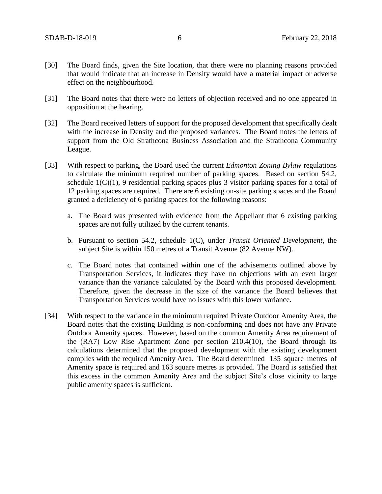- [30] The Board finds, given the Site location, that there were no planning reasons provided that would indicate that an increase in Density would have a material impact or adverse effect on the neighbourhood.
- [31] The Board notes that there were no letters of objection received and no one appeared in opposition at the hearing.
- [32] The Board received letters of support for the proposed development that specifically dealt with the increase in Density and the proposed variances. The Board notes the letters of support from the Old Strathcona Business Association and the Strathcona Community League.
- [33] With respect to parking, the Board used the current *Edmonton Zoning Bylaw* regulations to calculate the minimum required number of parking spaces. Based on section 54.2, schedule 1(C)(1), 9 residential parking spaces plus 3 visitor parking spaces for a total of 12 parking spaces are required. There are 6 existing on-site parking spaces and the Board granted a deficiency of 6 parking spaces for the following reasons:
	- a. The Board was presented with evidence from the Appellant that 6 existing parking spaces are not fully utilized by the current tenants.
	- b. Pursuant to section 54.2, schedule 1(C), under *Transit Oriented Development*, the subject Site is within 150 metres of a Transit Avenue (82 Avenue NW).
	- c. The Board notes that contained within one of the advisements outlined above by Transportation Services, it indicates they have no objections with an even larger variance than the variance calculated by the Board with this proposed development. Therefore, given the decrease in the size of the variance the Board believes that Transportation Services would have no issues with this lower variance.
- [34] With respect to the variance in the minimum required Private Outdoor Amenity Area, the Board notes that the existing Building is non-conforming and does not have any Private Outdoor Amenity spaces. However, based on the common Amenity Area requirement of the (RA7) Low Rise Apartment Zone per section 210.4(10), the Board through its calculations determined that the proposed development with the existing development complies with the required Amenity Area. The Board determined 135 square metres of Amenity space is required and 163 square metres is provided. The Board is satisfied that this excess in the common Amenity Area and the subject Site's close vicinity to large public amenity spaces is sufficient.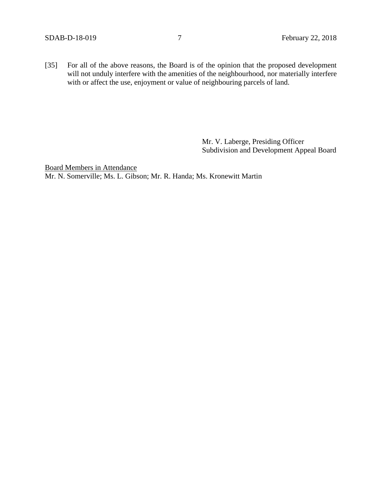[35] For all of the above reasons, the Board is of the opinion that the proposed development will not unduly interfere with the amenities of the neighbourhood, nor materially interfere with or affect the use, enjoyment or value of neighbouring parcels of land.

> Mr. V. Laberge, Presiding Officer Subdivision and Development Appeal Board

Board Members in Attendance Mr. N. Somerville; Ms. L. Gibson; Mr. R. Handa; Ms. Kronewitt Martin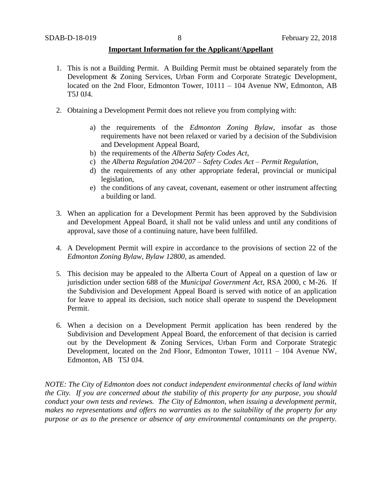#### **Important Information for the Applicant/Appellant**

- 1. This is not a Building Permit. A Building Permit must be obtained separately from the Development & Zoning Services, Urban Form and Corporate Strategic Development, located on the 2nd Floor, Edmonton Tower, 10111 – 104 Avenue NW, Edmonton, AB T5J 0J4.
- 2. Obtaining a Development Permit does not relieve you from complying with:
	- a) the requirements of the *Edmonton Zoning Bylaw*, insofar as those requirements have not been relaxed or varied by a decision of the Subdivision and Development Appeal Board,
	- b) the requirements of the *Alberta Safety Codes Act*,
	- c) the *Alberta Regulation 204/207 – Safety Codes Act – Permit Regulation*,
	- d) the requirements of any other appropriate federal, provincial or municipal legislation,
	- e) the conditions of any caveat, covenant, easement or other instrument affecting a building or land.
- 3. When an application for a Development Permit has been approved by the Subdivision and Development Appeal Board, it shall not be valid unless and until any conditions of approval, save those of a continuing nature, have been fulfilled.
- 4. A Development Permit will expire in accordance to the provisions of section 22 of the *Edmonton Zoning Bylaw, Bylaw 12800*, as amended.
- 5. This decision may be appealed to the Alberta Court of Appeal on a question of law or jurisdiction under section 688 of the *Municipal Government Act*, RSA 2000, c M-26. If the Subdivision and Development Appeal Board is served with notice of an application for leave to appeal its decision, such notice shall operate to suspend the Development Permit.
- 6. When a decision on a Development Permit application has been rendered by the Subdivision and Development Appeal Board, the enforcement of that decision is carried out by the Development & Zoning Services, Urban Form and Corporate Strategic Development, located on the 2nd Floor, Edmonton Tower, 10111 – 104 Avenue NW, Edmonton, AB T5J 0J4.

*NOTE: The City of Edmonton does not conduct independent environmental checks of land within the City. If you are concerned about the stability of this property for any purpose, you should conduct your own tests and reviews. The City of Edmonton, when issuing a development permit, makes no representations and offers no warranties as to the suitability of the property for any purpose or as to the presence or absence of any environmental contaminants on the property.*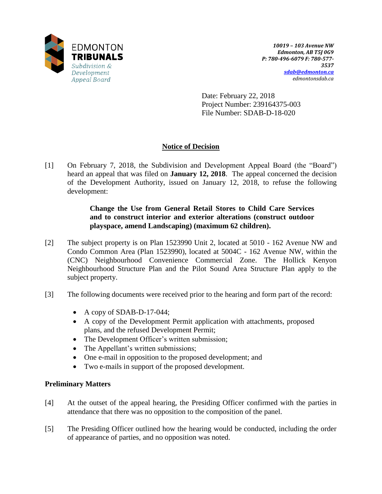

Date: February 22, 2018 Project Number: 239164375-003 File Number: SDAB-D-18-020

# **Notice of Decision**

[1] On February 7, 2018, the Subdivision and Development Appeal Board (the "Board") heard an appeal that was filed on **January 12, 2018**. The appeal concerned the decision of the Development Authority, issued on January 12, 2018, to refuse the following development:

# **Change the Use from General Retail Stores to Child Care Services and to construct interior and exterior alterations (construct outdoor playspace, amend Landscaping) (maximum 62 children).**

- [2] The subject property is on Plan 1523990 Unit 2, located at 5010 162 Avenue NW and Condo Common Area (Plan 1523990), located at 5004C - 162 Avenue NW, within the (CNC) Neighbourhood Convenience Commercial Zone. The Hollick Kenyon Neighbourhood Structure Plan and the Pilot Sound Area Structure Plan apply to the subject property.
- [3] The following documents were received prior to the hearing and form part of the record:
	- $\bullet$  A copy of SDAB-D-17-044;
	- A copy of the Development Permit application with attachments, proposed plans, and the refused Development Permit;
	- The Development Officer's written submission;
	- The Appellant's written submissions;
	- One e-mail in opposition to the proposed development; and
	- Two e-mails in support of the proposed development.

## **Preliminary Matters**

- [4] At the outset of the appeal hearing, the Presiding Officer confirmed with the parties in attendance that there was no opposition to the composition of the panel.
- [5] The Presiding Officer outlined how the hearing would be conducted, including the order of appearance of parties, and no opposition was noted.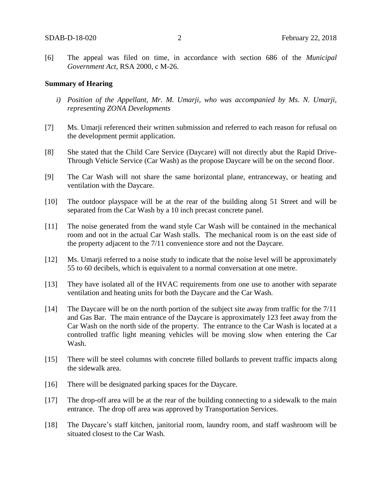[6] The appeal was filed on time, in accordance with section 686 of the *Municipal Government Act*, RSA 2000, c M-26.

#### **Summary of Hearing**

- *i) Position of the Appellant, Mr. M. Umarji, who was accompanied by Ms. N. Umarji, representing ZONA Developments*
- [7] Ms. Umarji referenced their written submission and referred to each reason for refusal on the development permit application.
- [8] She stated that the Child Care Service (Daycare) will not directly abut the Rapid Drive-Through Vehicle Service (Car Wash) as the propose Daycare will be on the second floor.
- [9] The Car Wash will not share the same horizontal plane, entranceway, or heating and ventilation with the Daycare.
- [10] The outdoor playspace will be at the rear of the building along 51 Street and will be separated from the Car Wash by a 10 inch precast concrete panel.
- [11] The noise generated from the wand style Car Wash will be contained in the mechanical room and not in the actual Car Wash stalls. The mechanical room is on the east side of the property adjacent to the 7/11 convenience store and not the Daycare.
- [12] Ms. Umarji referred to a noise study to indicate that the noise level will be approximately 55 to 60 decibels, which is equivalent to a normal conversation at one metre.
- [13] They have isolated all of the HVAC requirements from one use to another with separate ventilation and heating units for both the Daycare and the Car Wash.
- [14] The Daycare will be on the north portion of the subject site away from traffic for the 7/11 and Gas Bar. The main entrance of the Daycare is approximately 123 feet away from the Car Wash on the north side of the property. The entrance to the Car Wash is located at a controlled traffic light meaning vehicles will be moving slow when entering the Car Wash.
- [15] There will be steel columns with concrete filled bollards to prevent traffic impacts along the sidewalk area.
- [16] There will be designated parking spaces for the Daycare.
- [17] The drop-off area will be at the rear of the building connecting to a sidewalk to the main entrance. The drop off area was approved by Transportation Services.
- [18] The Daycare's staff kitchen, janitorial room, laundry room, and staff washroom will be situated closest to the Car Wash.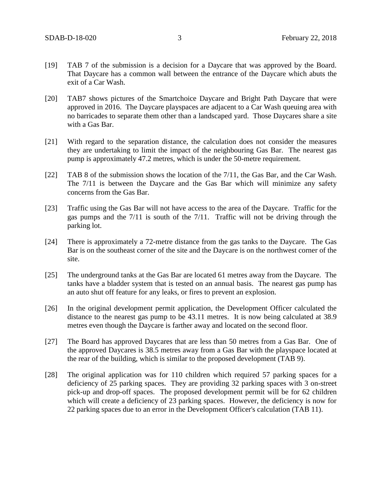- [19] TAB 7 of the submission is a decision for a Daycare that was approved by the Board. That Daycare has a common wall between the entrance of the Daycare which abuts the exit of a Car Wash.
- [20] TAB7 shows pictures of the Smartchoice Daycare and Bright Path Daycare that were approved in 2016. The Daycare playspaces are adjacent to a Car Wash queuing area with no barricades to separate them other than a landscaped yard. Those Daycares share a site with a Gas Bar.
- [21] With regard to the separation distance, the calculation does not consider the measures they are undertaking to limit the impact of the neighbouring Gas Bar. The nearest gas pump is approximately 47.2 metres, which is under the 50-metre requirement.
- [22] TAB 8 of the submission shows the location of the 7/11, the Gas Bar, and the Car Wash. The 7/11 is between the Daycare and the Gas Bar which will minimize any safety concerns from the Gas Bar.
- [23] Traffic using the Gas Bar will not have access to the area of the Daycare. Traffic for the gas pumps and the 7/11 is south of the 7/11. Traffic will not be driving through the parking lot.
- [24] There is approximately a 72-metre distance from the gas tanks to the Daycare. The Gas Bar is on the southeast corner of the site and the Daycare is on the northwest corner of the site.
- [25] The underground tanks at the Gas Bar are located 61 metres away from the Daycare. The tanks have a bladder system that is tested on an annual basis. The nearest gas pump has an auto shut off feature for any leaks, or fires to prevent an explosion.
- [26] In the original development permit application, the Development Officer calculated the distance to the nearest gas pump to be 43.11 metres. It is now being calculated at 38.9 metres even though the Daycare is farther away and located on the second floor.
- [27] The Board has approved Daycares that are less than 50 metres from a Gas Bar. One of the approved Daycares is 38.5 metres away from a Gas Bar with the playspace located at the rear of the building, which is similar to the proposed development (TAB 9).
- [28] The original application was for 110 children which required 57 parking spaces for a deficiency of 25 parking spaces. They are providing 32 parking spaces with 3 on-street pick-up and drop-off spaces. The proposed development permit will be for 62 children which will create a deficiency of 23 parking spaces. However, the deficiency is now for 22 parking spaces due to an error in the Development Officer's calculation (TAB 11).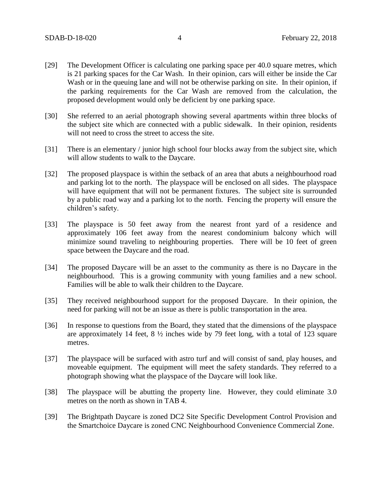- [29] The Development Officer is calculating one parking space per 40.0 square metres, which is 21 parking spaces for the Car Wash. In their opinion, cars will either be inside the Car Wash or in the queuing lane and will not be otherwise parking on site. In their opinion, if the parking requirements for the Car Wash are removed from the calculation, the proposed development would only be deficient by one parking space.
- [30] She referred to an aerial photograph showing several apartments within three blocks of the subject site which are connected with a public sidewalk. In their opinion, residents will not need to cross the street to access the site.
- [31] There is an elementary / junior high school four blocks away from the subject site, which will allow students to walk to the Daycare.
- [32] The proposed playspace is within the setback of an area that abuts a neighbourhood road and parking lot to the north. The playspace will be enclosed on all sides. The playspace will have equipment that will not be permanent fixtures. The subject site is surrounded by a public road way and a parking lot to the north. Fencing the property will ensure the children's safety.
- [33] The playspace is 50 feet away from the nearest front yard of a residence and approximately 106 feet away from the nearest condominium balcony which will minimize sound traveling to neighbouring properties. There will be 10 feet of green space between the Daycare and the road.
- [34] The proposed Daycare will be an asset to the community as there is no Daycare in the neighbourhood. This is a growing community with young families and a new school. Families will be able to walk their children to the Daycare.
- [35] They received neighbourhood support for the proposed Daycare. In their opinion, the need for parking will not be an issue as there is public transportation in the area.
- [36] In response to questions from the Board, they stated that the dimensions of the playspace are approximately 14 feet,  $8\frac{1}{2}$  inches wide by 79 feet long, with a total of 123 square metres.
- [37] The playspace will be surfaced with astro turf and will consist of sand, play houses, and moveable equipment. The equipment will meet the safety standards. They referred to a photograph showing what the playspace of the Daycare will look like.
- [38] The playspace will be abutting the property line. However, they could eliminate 3.0 metres on the north as shown in TAB 4.
- [39] The Brightpath Daycare is zoned DC2 Site Specific Development Control Provision and the Smartchoice Daycare is zoned CNC Neighbourhood Convenience Commercial Zone.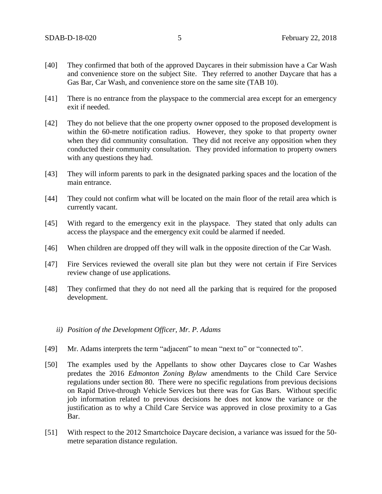- [40] They confirmed that both of the approved Daycares in their submission have a Car Wash and convenience store on the subject Site. They referred to another Daycare that has a Gas Bar, Car Wash, and convenience store on the same site (TAB 10).
- [41] There is no entrance from the playspace to the commercial area except for an emergency exit if needed.
- [42] They do not believe that the one property owner opposed to the proposed development is within the 60-metre notification radius. However, they spoke to that property owner when they did community consultation. They did not receive any opposition when they conducted their community consultation. They provided information to property owners with any questions they had.
- [43] They will inform parents to park in the designated parking spaces and the location of the main entrance.
- [44] They could not confirm what will be located on the main floor of the retail area which is currently vacant.
- [45] With regard to the emergency exit in the playspace. They stated that only adults can access the playspace and the emergency exit could be alarmed if needed.
- [46] When children are dropped off they will walk in the opposite direction of the Car Wash.
- [47] Fire Services reviewed the overall site plan but they were not certain if Fire Services review change of use applications.
- [48] They confirmed that they do not need all the parking that is required for the proposed development.
	- *ii) Position of the Development Officer, Mr. P. Adams*
- [49] Mr. Adams interprets the term "adjacent" to mean "next to" or "connected to".
- [50] The examples used by the Appellants to show other Daycares close to Car Washes predates the 2016 *Edmonton Zoning Bylaw* amendments to the Child Care Service regulations under section 80. There were no specific regulations from previous decisions on Rapid Drive-through Vehicle Services but there was for Gas Bars. Without specific job information related to previous decisions he does not know the variance or the justification as to why a Child Care Service was approved in close proximity to a Gas Bar.
- [51] With respect to the 2012 Smartchoice Daycare decision, a variance was issued for the 50 metre separation distance regulation.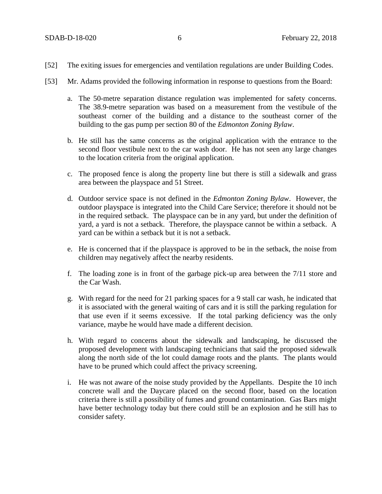- [52] The exiting issues for emergencies and ventilation regulations are under Building Codes.
- [53] Mr. Adams provided the following information in response to questions from the Board:
	- a. The 50-metre separation distance regulation was implemented for safety concerns. The 38.9-metre separation was based on a measurement from the vestibule of the southeast corner of the building and a distance to the southeast corner of the building to the gas pump per section 80 of the *Edmonton Zoning Bylaw*.
	- b. He still has the same concerns as the original application with the entrance to the second floor vestibule next to the car wash door. He has not seen any large changes to the location criteria from the original application.
	- c. The proposed fence is along the property line but there is still a sidewalk and grass area between the playspace and 51 Street.
	- d. Outdoor service space is not defined in the *Edmonton Zoning Bylaw*. However, the outdoor playspace is integrated into the Child Care Service; therefore it should not be in the required setback. The playspace can be in any yard, but under the definition of yard, a yard is not a setback. Therefore, the playspace cannot be within a setback. A yard can be within a setback but it is not a setback.
	- e. He is concerned that if the playspace is approved to be in the setback, the noise from children may negatively affect the nearby residents.
	- f. The loading zone is in front of the garbage pick-up area between the 7/11 store and the Car Wash.
	- g. With regard for the need for 21 parking spaces for a 9 stall car wash, he indicated that it is associated with the general waiting of cars and it is still the parking regulation for that use even if it seems excessive. If the total parking deficiency was the only variance, maybe he would have made a different decision.
	- h. With regard to concerns about the sidewalk and landscaping, he discussed the proposed development with landscaping technicians that said the proposed sidewalk along the north side of the lot could damage roots and the plants. The plants would have to be pruned which could affect the privacy screening.
	- i. He was not aware of the noise study provided by the Appellants. Despite the 10 inch concrete wall and the Daycare placed on the second floor, based on the location criteria there is still a possibility of fumes and ground contamination. Gas Bars might have better technology today but there could still be an explosion and he still has to consider safety.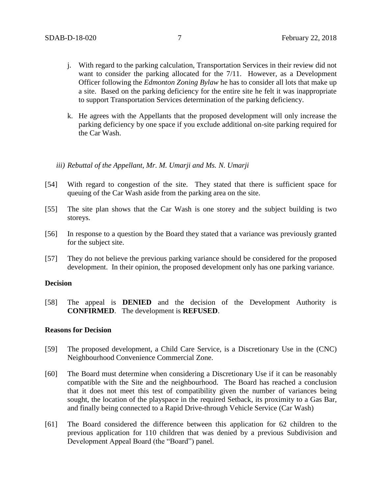- j. With regard to the parking calculation, Transportation Services in their review did not want to consider the parking allocated for the 7/11. However, as a Development Officer following the *Edmonton Zoning Bylaw* he has to consider all lots that make up a site. Based on the parking deficiency for the entire site he felt it was inappropriate to support Transportation Services determination of the parking deficiency.
- k. He agrees with the Appellants that the proposed development will only increase the parking deficiency by one space if you exclude additional on-site parking required for the Car Wash.
- *iii) Rebuttal of the Appellant, Mr. M. Umarji and Ms. N. Umarji*
- [54] With regard to congestion of the site. They stated that there is sufficient space for queuing of the Car Wash aside from the parking area on the site.
- [55] The site plan shows that the Car Wash is one storey and the subject building is two storeys.
- [56] In response to a question by the Board they stated that a variance was previously granted for the subject site.
- [57] They do not believe the previous parking variance should be considered for the proposed development. In their opinion, the proposed development only has one parking variance.

#### **Decision**

[58] The appeal is **DENIED** and the decision of the Development Authority is **CONFIRMED**. The development is **REFUSED**.

## **Reasons for Decision**

- [59] The proposed development, a Child Care Service, is a Discretionary Use in the (CNC) Neighbourhood Convenience Commercial Zone.
- [60] The Board must determine when considering a Discretionary Use if it can be reasonably compatible with the Site and the neighbourhood. The Board has reached a conclusion that it does not meet this test of compatibility given the number of variances being sought, the location of the playspace in the required Setback, its proximity to a Gas Bar, and finally being connected to a Rapid Drive-through Vehicle Service (Car Wash)
- [61] The Board considered the difference between this application for 62 children to the previous application for 110 children that was denied by a previous Subdivision and Development Appeal Board (the "Board") panel.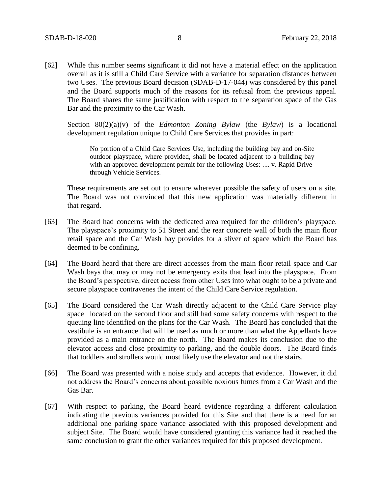[62] While this number seems significant it did not have a material effect on the application overall as it is still a Child Care Service with a variance for separation distances between two Uses. The previous Board decision (SDAB-D-17-044) was considered by this panel and the Board supports much of the reasons for its refusal from the previous appeal. The Board shares the same justification with respect to the separation space of the Gas Bar and the proximity to the Car Wash.

Section 80(2)(a)(v) of the *Edmonton Zoning Bylaw* (the *Bylaw*) is a locational development regulation unique to Child Care Services that provides in part:

No portion of a Child Care Services Use, including the building bay and on-Site outdoor playspace, where provided, shall be located adjacent to a building bay with an approved development permit for the following Uses: .... v. Rapid Drivethrough Vehicle Services.

These requirements are set out to ensure wherever possible the safety of users on a site. The Board was not convinced that this new application was materially different in that regard.

- [63] The Board had concerns with the dedicated area required for the children's playspace. The playspace's proximity to 51 Street and the rear concrete wall of both the main floor retail space and the Car Wash bay provides for a sliver of space which the Board has deemed to be confining.
- [64] The Board heard that there are direct accesses from the main floor retail space and Car Wash bays that may or may not be emergency exits that lead into the playspace. From the Board's perspective, direct access from other Uses into what ought to be a private and secure playspace contravenes the intent of the Child Care Service regulation.
- [65] The Board considered the Car Wash directly adjacent to the Child Care Service play space located on the second floor and still had some safety concerns with respect to the queuing line identified on the plans for the Car Wash. The Board has concluded that the vestibule is an entrance that will be used as much or more than what the Appellants have provided as a main entrance on the north. The Board makes its conclusion due to the elevator access and close proximity to parking, and the double doors. The Board finds that toddlers and strollers would most likely use the elevator and not the stairs.
- [66] The Board was presented with a noise study and accepts that evidence. However, it did not address the Board's concerns about possible noxious fumes from a Car Wash and the Gas Bar.
- [67] With respect to parking, the Board heard evidence regarding a different calculation indicating the previous variances provided for this Site and that there is a need for an additional one parking space variance associated with this proposed development and subject Site. The Board would have considered granting this variance had it reached the same conclusion to grant the other variances required for this proposed development.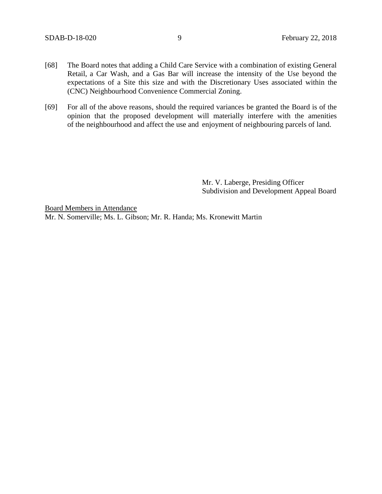- [68] The Board notes that adding a Child Care Service with a combination of existing General Retail, a Car Wash, and a Gas Bar will increase the intensity of the Use beyond the expectations of a Site this size and with the Discretionary Uses associated within the (CNC) Neighbourhood Convenience Commercial Zoning.
- [69] For all of the above reasons, should the required variances be granted the Board is of the opinion that the proposed development will materially interfere with the amenities of the neighbourhood and affect the use and enjoyment of neighbouring parcels of land.

Mr. V. Laberge, Presiding Officer Subdivision and Development Appeal Board

Board Members in Attendance Mr. N. Somerville; Ms. L. Gibson; Mr. R. Handa; Ms. Kronewitt Martin